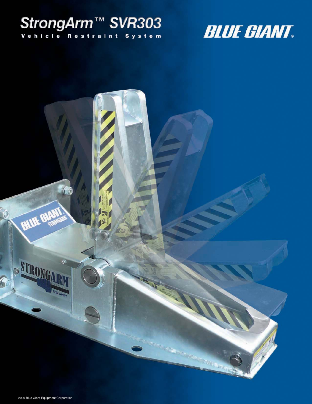# StrongArm<sup>TM</sup> SVR303

**BLUE GIANT** 

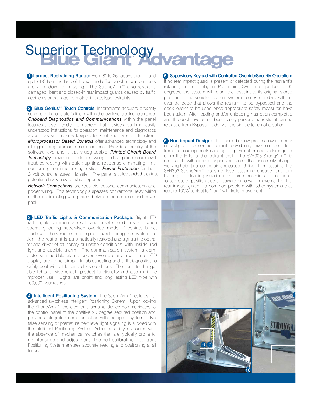# Superior Technology<br>Cliamt Advantage

**1 Largest Restraining Range:** From 8" to 26" above ground and up to 13" from the face of the wall and effective when wall bumpers are worn down or missing. The StrongArm™ also restrains damaged, bent and closed-in rear impact guards caused by traffic accidents or damage from other impact type restraints.

<sup>2</sup> Blue Genius<sup>™</sup> Touch Controls: Incorporates accurate proximity sensing of the operator's finger within the low level electric field range. *Onboard Diagnostics and Communications* within the panel features a user-friendly, LCD screen that provides real time, easily understood instructions for operation, maintenance and diagnostics as well as supervisory keypad lockout and override function. *Microprocessor Based Controls* offer advanced technology and intelligent programmable menu options. Provides flexibility at the software level and is easily upgradable. *Printed Circuit Board* **Technology** provides trouble free wiring and simplified board level troubleshooting with quick up time response eliminating time consuming multi-meter diagnostics. *Power Protection* for the 24Volt control ensures it is safe. The panel is safeguarded against potential shock hazard when opened.

*Network Connections* provides bidirectional communication and power wiring. This technology surpasses conventional relay wiring methods eliminating wiring errors between the controller and power pack.

**3 LED Traffic Lights & Communication Package: Bright LED** traffic lights communicate safe and unsafe conditions and when operating during supervised override mode. If contact is not made with the vehicle's rear impact guard during the cycle rotation, the restraint is automatically restored and signals the operator and driver of cautionary or unsafe conditions with inside red light and audible alarm. The communication system is complete with audible alarm, coded override and real time LCD display providing simple troubleshooting and self-diagnostics to safely deal with all loading dock conditions. The non interchangeable lights provide reliable product functionality and also minimize improper use. Lights are bright and long lasting LED type with 100,000 hour ratings.

4 Intelligent Positioning System The StrongArm™ features our advanced switchless Intelligent Positioning System. Upon locking the StrongArm™, the electronic sensing device communicates to the control panel of the positive 90 degree secured position and provides integrated communication with the lights system. No false sensing or premature next level light signaling is allowed with the Intelligent Positioning System. Added reliability is assured with the absence of mechanical switches that are typically prone to maintenance and adjustment. The self-calibrating Intelligent Positioning System ensures accurate reading and positioning at all times.

5 Supervisory Keypad with Controlled Override/Security Operation: If no rear impact guard is present or detected during the restraint's rotation, or the Intelligent Positioning System stops before 90 degrees, the system will return the restraint to its original stored position. The vehicle restraint system comes standard with an override code that allows the restraint to be bypassed and the dock leveler to be used once appropriate safety measures have been taken. After loading and/or unloading has been completed and the dock leveler has been safely parked, the restraint can be released from Bypass mode with the simple touch of a button.

**6 Non-impact Design:** The incredible low profile allows the rear impact guard to clear the restraint body during arrival to or departure from the loading dock causing no physical or costly damage to either the trailer or the restraint itself. The SVR303 StrongArm™ is compatible with air-ride suspension trailers that can easily change working heights once the air is released. Unlike other restraints, the SVR303 StrongArm™ does not lose restraining engagement from loading or unloading vibrations that forces restraints to lock up or forced out of position due to upward or forward movement of the rear impact guard - a common problem with other systems that require 100% contact to "float" with trailer movement.

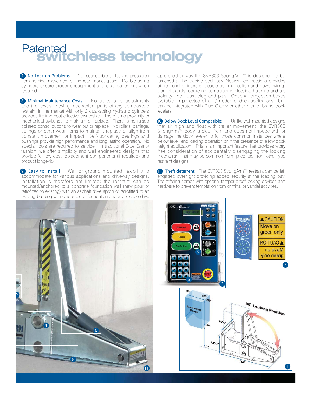### **switchless technology** Patented

7 No Lock-up Problems: Not susceptible to locking pressures from nominal movement of the rear impact guard. Double acting cylinders ensure proper engagement and disengagement when required.

8 Minimal Maintenance Costs: No lubrication or adjustments and the fewest moving mechanical parts of any comparable restraint in the market with only 2 dual-acting hydraulic cylinders provides lifetime cost effective ownership. There is no proximity or mechanical switches to maintain or replace. There is no raised collared control buttons to wear out or replace. No rollers, carriage, springs or other wear items to maintain, replace or align from constant movement or impact. Self-lubricating bearings and bushings provide high performance and long lasting operation. No special tools are required to service. In traditional Blue Giant® fashion, we offer simplicity and well engineered designs that provide for low cost replacement components (if required) and product longevity.

9 Easy to Install: Wall or ground mounted flexibility to accommodate for various applications and driveway designs. Installation is therefore not limited; the restraint can be mounted/anchored to a concrete foundation wall (new pour or retrofitted to existing) with an asphalt drive apron or retrofitted to an existing building with cinder block foundation and a concrete drive



apron, either way the SVR303 StrongArm™ is designed to be fastened at the loading dock bay. Network connections provides bidirectional or interchangeable communication and power wiring. Control panels require no cumbersome electrical hook up and are polarity free. Just plug and play. Optional projection boxes available for projected pit and/or edge of dock applications. Unit can be integrated with Blue Giant® or other market brand dock levelers.

10 Below Dock Level Compatible: Unlike wall mounted designs that sit high and float with trailer movement, the SVR303 StrongArm™ body is clear from and does not impede with or damage the dock leveler lip for those common instances where below level, end loading operation or in the presence of a low dock height application. This is an important feature that provides worry free consideration of accidentally disengaging the locking mechanism that may be common from lip contact from other type restraint designs.

11 Theft deterrent: The SVR303 StrongArm™ restraint can be left engaged overnight providing added security at the loading bay. The offering comes with optional tamper proof locking devices and hardware to prevent temptation from criminal or vandal activities.